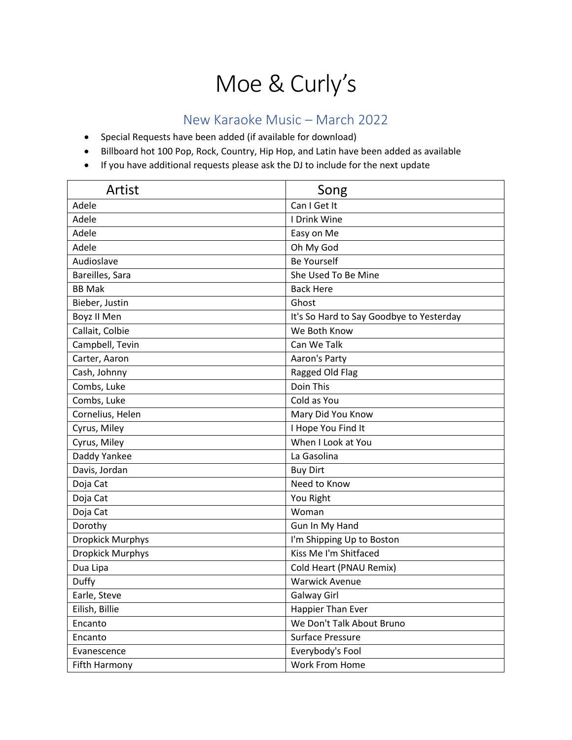## Moe & Curly's

## New Karaoke Music – March 2022

- Special Requests have been added (if available for download)
- Billboard hot 100 Pop, Rock, Country, Hip Hop, and Latin have been added as available
- If you have additional requests please ask the DJ to include for the next update

| Artist                  | Song                                     |
|-------------------------|------------------------------------------|
| Adele                   | Can I Get It                             |
| Adele                   | <b>I</b> Drink Wine                      |
| Adele                   | Easy on Me                               |
| Adele                   | Oh My God                                |
| Audioslave              | <b>Be Yourself</b>                       |
| Bareilles, Sara         | She Used To Be Mine                      |
| <b>BB Mak</b>           | <b>Back Here</b>                         |
| Bieber, Justin          | Ghost                                    |
| Boyz II Men             | It's So Hard to Say Goodbye to Yesterday |
| Callait, Colbie         | We Both Know                             |
| Campbell, Tevin         | Can We Talk                              |
| Carter, Aaron           | Aaron's Party                            |
| Cash, Johnny            | Ragged Old Flag                          |
| Combs, Luke             | Doin This                                |
| Combs, Luke             | Cold as You                              |
| Cornelius, Helen        | Mary Did You Know                        |
| Cyrus, Miley            | I Hope You Find It                       |
| Cyrus, Miley            | When I Look at You                       |
| Daddy Yankee            | La Gasolina                              |
| Davis, Jordan           | <b>Buy Dirt</b>                          |
| Doja Cat                | Need to Know                             |
| Doja Cat                | You Right                                |
| Doja Cat                | Woman                                    |
| Dorothy                 | Gun In My Hand                           |
| Dropkick Murphys        | I'm Shipping Up to Boston                |
| <b>Dropkick Murphys</b> | Kiss Me I'm Shitfaced                    |
| Dua Lipa                | Cold Heart (PNAU Remix)                  |
| Duffy                   | <b>Warwick Avenue</b>                    |
| Earle, Steve            | Galway Girl                              |
| Eilish, Billie          | Happier Than Ever                        |
| Encanto                 | We Don't Talk About Bruno                |
| Encanto                 | <b>Surface Pressure</b>                  |
| Evanescence             | Everybody's Fool                         |
| Fifth Harmony           | <b>Work From Home</b>                    |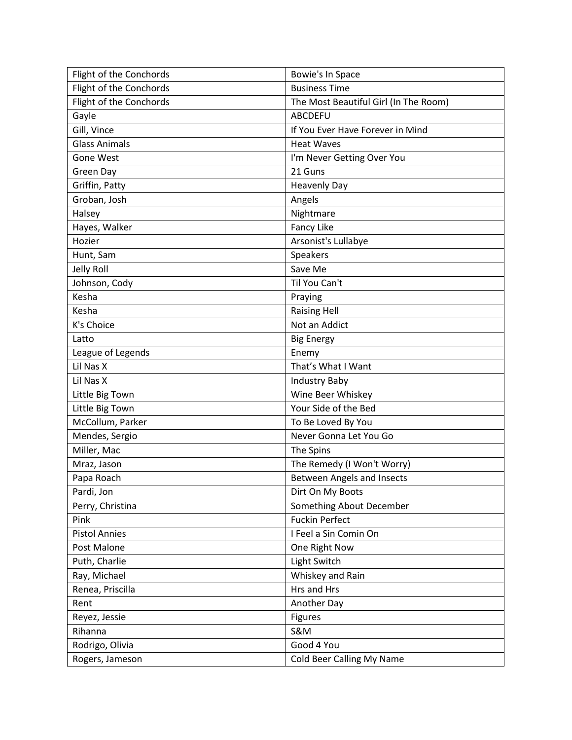| Flight of the Conchords | Bowie's In Space                      |
|-------------------------|---------------------------------------|
| Flight of the Conchords | <b>Business Time</b>                  |
| Flight of the Conchords | The Most Beautiful Girl (In The Room) |
| Gayle                   | <b>ABCDEFU</b>                        |
| Gill, Vince             | If You Ever Have Forever in Mind      |
| <b>Glass Animals</b>    | <b>Heat Waves</b>                     |
| <b>Gone West</b>        | I'm Never Getting Over You            |
| Green Day               | 21 Guns                               |
| Griffin, Patty          | <b>Heavenly Day</b>                   |
| Groban, Josh            | Angels                                |
| Halsey                  | Nightmare                             |
| Hayes, Walker           | Fancy Like                            |
| Hozier                  | Arsonist's Lullabye                   |
| Hunt, Sam               | Speakers                              |
| Jelly Roll              | Save Me                               |
| Johnson, Cody           | Til You Can't                         |
| Kesha                   | Praying                               |
| Kesha                   | <b>Raising Hell</b>                   |
| K's Choice              | Not an Addict                         |
| Latto                   | <b>Big Energy</b>                     |
| League of Legends       | Enemy                                 |
| Lil Nas X               | That's What I Want                    |
| Lil Nas X               | <b>Industry Baby</b>                  |
| Little Big Town         | Wine Beer Whiskey                     |
| Little Big Town         | Your Side of the Bed                  |
| McCollum, Parker        | To Be Loved By You                    |
| Mendes, Sergio          | Never Gonna Let You Go                |
| Miller, Mac             | The Spins                             |
| Mraz, Jason             | The Remedy (I Won't Worry)            |
| Papa Roach              | <b>Between Angels and Insects</b>     |
| Pardi, Jon              | Dirt On My Boots                      |
| Perry, Christina        | Something About December              |
| Pink                    | <b>Fuckin Perfect</b>                 |
| <b>Pistol Annies</b>    | I Feel a Sin Comin On                 |
| Post Malone             | One Right Now                         |
| Puth, Charlie           | Light Switch                          |
| Ray, Michael            | Whiskey and Rain                      |
| Renea, Priscilla        | Hrs and Hrs                           |
| Rent                    | Another Day                           |
| Reyez, Jessie           | <b>Figures</b>                        |
| Rihanna                 | <b>S&amp;M</b>                        |
| Rodrigo, Olivia         | Good 4 You                            |
| Rogers, Jameson         | Cold Beer Calling My Name             |